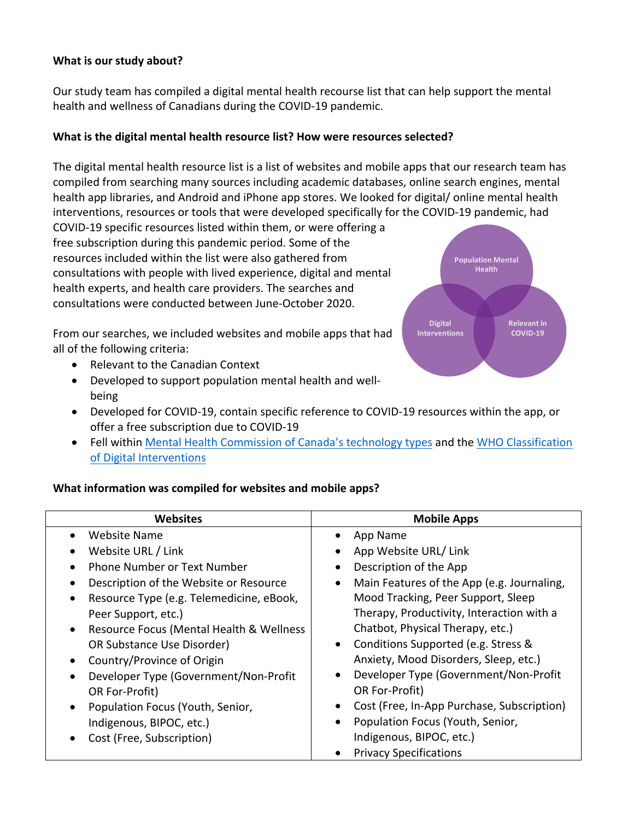## **What is our study about?**

Our study team has compiled a digital mental health recourse list that can help support the mental health and wellness of Canadians during the COVID-19 pandemic.

### What is the digital mental health resource list? How were resources selected?

The digital mental health resource list is a list of websites and mobile apps that our research team has compiled from searching many sources including academic databases, online search engines, mental health app libraries, and Android and iPhone app stores. We looked for digital/ online mental health interventions, resources or tools that were developed specifically for the COVID-19 pandemic, had

COVID-19 specific resources listed within them, or were offering a free subscription during this pandemic period. Some of the resources included within the list were also gathered from consultations with people with lived experience, digital and mental health experts, and health care providers. The searches and consultations were conducted between June-October 2020.

From our searches, we included websites and mobile apps that had all of the following criteria:

- Relevant to the Canadian Context
- Developed to support population mental health and wellbeing
- Developed for COVID-19, contain specific reference to COVID-19 resources within the app, or offer a free subscription due to COVID-19
- Fell within Mental Health Commission of Canada's technology types and the WHO Classification of Digital Interventions

### **What information was compiled for websites and mobile apps?**

| <b>Websites</b>                                       | <b>Mobile Apps</b>                               |
|-------------------------------------------------------|--------------------------------------------------|
| Website Name                                          | App Name                                         |
| Website URL / Link<br>$\bullet$                       | App Website URL/Link                             |
| <b>Phone Number or Text Number</b>                    | Description of the App                           |
| Description of the Website or Resource                | Main Features of the App (e.g. Journaling,       |
| Resource Type (e.g. Telemedicine, eBook,<br>$\bullet$ | Mood Tracking, Peer Support, Sleep               |
| Peer Support, etc.)                                   | Therapy, Productivity, Interaction with a        |
| Resource Focus (Mental Health & Wellness<br>$\bullet$ | Chatbot, Physical Therapy, etc.)                 |
| OR Substance Use Disorder)                            | Conditions Supported (e.g. Stress &<br>$\bullet$ |
| Country/Province of Origin<br>$\bullet$               | Anxiety, Mood Disorders, Sleep, etc.)            |
| Developer Type (Government/Non-Profit                 | Developer Type (Government/Non-Profit            |
| OR For-Profit)                                        | OR For-Profit)                                   |
| Population Focus (Youth, Senior,<br>$\bullet$         | Cost (Free, In-App Purchase, Subscription)       |
| Indigenous, BIPOC, etc.)                              | Population Focus (Youth, Senior,                 |
| Cost (Free, Subscription)<br>$\bullet$                | Indigenous, BIPOC, etc.)                         |
|                                                       | <b>Privacy Specifications</b>                    |

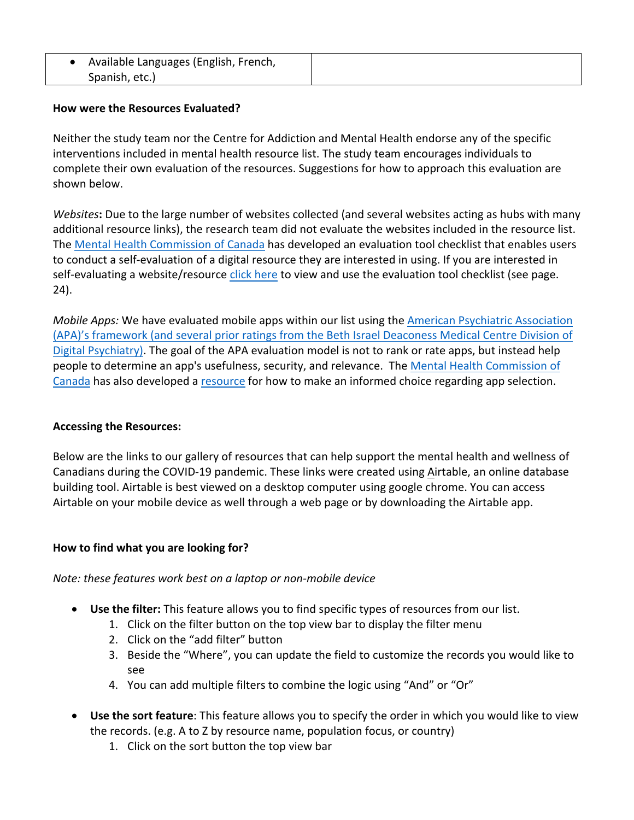| Available Languages (English, French, |
|---------------------------------------|
| Spanish, etc.)                        |

## **How were the Resources Evaluated?**

Neither the study team nor the Centre for Addiction and Mental Health endorse any of the specific interventions included in mental health resource list. The study team encourages individuals to complete their own evaluation of the resources. Suggestions for how to approach this evaluation are shown below.

*Websites*: Due to the large number of websites collected (and several websites acting as hubs with many additional resource links), the research team did not evaluate the websites included in the resource list. The Mental Health Commission of Canada has developed an evaluation tool checklist that enables users to conduct a self-evaluation of a digital resource they are interested in using. If you are interested in self-evaluating a website/resource click here to view and use the evaluation tool checklist (see page. 24).

*Mobile Apps:* We have evaluated mobile apps within our list using the American Psychiatric Association (APA)'s framework (and several prior ratings from the Beth Israel Deaconess Medical Centre Division of Digital Psychiatry). The goal of the APA evaluation model is not to rank or rate apps, but instead help people to determine an app's usefulness, security, and relevance. The Mental Health Commission of Canada has also developed a resource for how to make an informed choice regarding app selection.

# **Accessing the Resources:**

Below are the links to our gallery of resources that can help support the mental health and wellness of Canadians during the COVID-19 pandemic. These links were created using Airtable, an online database building tool. Airtable is best viewed on a desktop computer using google chrome. You can access Airtable on your mobile device as well through a web page or by downloading the Airtable app.

### How to find what you are looking for?

### *Note: these features work best on a laptop or non-mobile device*

- Use the filter: This feature allows you to find specific types of resources from our list.
	- 1. Click on the filter button on the top view bar to display the filter menu
	- 2. Click on the "add filter" button
	- 3. Beside the "Where", you can update the field to customize the records you would like to see
	- 4. You can add multiple filters to combine the logic using "And" or "Or"
- **Use the sort feature**: This feature allows you to specify the order in which you would like to view the records. (e.g. A to Z by resource name, population focus, or country)
	- 1. Click on the sort button the top view bar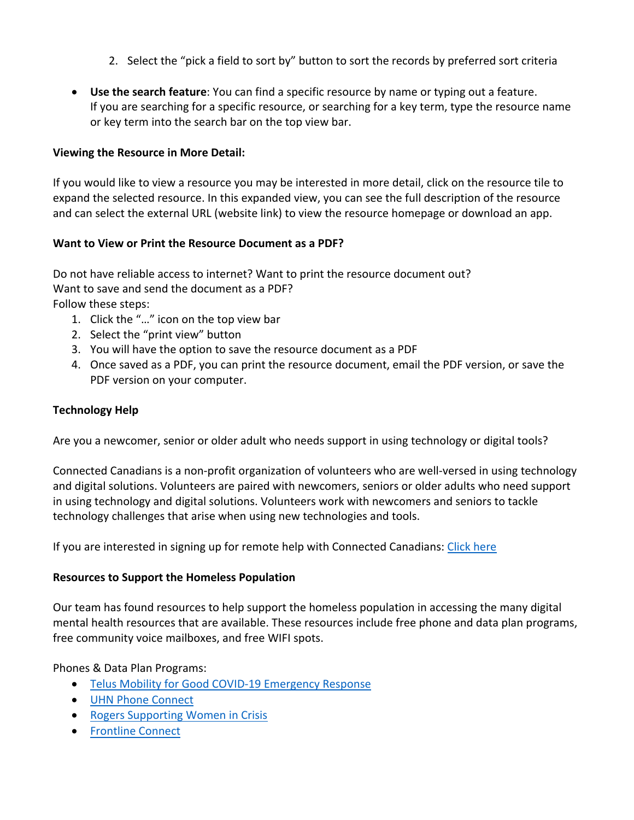- 2. Select the "pick a field to sort by" button to sort the records by preferred sort criteria
- Use the search feature: You can find a specific resource by name or typing out a feature. If you are searching for a specific resource, or searching for a key term, type the resource name or key term into the search bar on the top view bar.

## **Viewing the Resource in More Detail:**

If you would like to view a resource you may be interested in more detail, click on the resource tile to expand the selected resource. In this expanded view, you can see the full description of the resource and can select the external URL (website link) to view the resource homepage or download an app.

### **Want to View or Print the Resource Document as a PDF?**

Do not have reliable access to internet? Want to print the resource document out? Want to save and send the document as a PDF? Follow these steps:

- 1. Click the "..." icon on the top view bar
- 2. Select the "print view" button
- 3. You will have the option to save the resource document as a PDF
- 4. Once saved as a PDF, you can print the resource document, email the PDF version, or save the PDF version on your computer.

## **Technology Help**

Are you a newcomer, senior or older adult who needs support in using technology or digital tools?

Connected Canadians is a non-profit organization of volunteers who are well-versed in using technology and digital solutions. Volunteers are paired with newcomers, seniors or older adults who need support in using technology and digital solutions. Volunteers work with newcomers and seniors to tackle technology challenges that arise when using new technologies and tools.

If you are interested in signing up for remote help with Connected Canadians: Click here

### **Resources to Support the Homeless Population**

Our team has found resources to help support the homeless population in accessing the many digital mental health resources that are available. These resources include free phone and data plan programs, free community voice mailboxes, and free WIFI spots.

Phones & Data Plan Programs:

- Telus Mobility for Good COVID-19 Emergency Response
- UHN Phone Connect
- Rogers Supporting Women in Crisis
- Frontline Connect